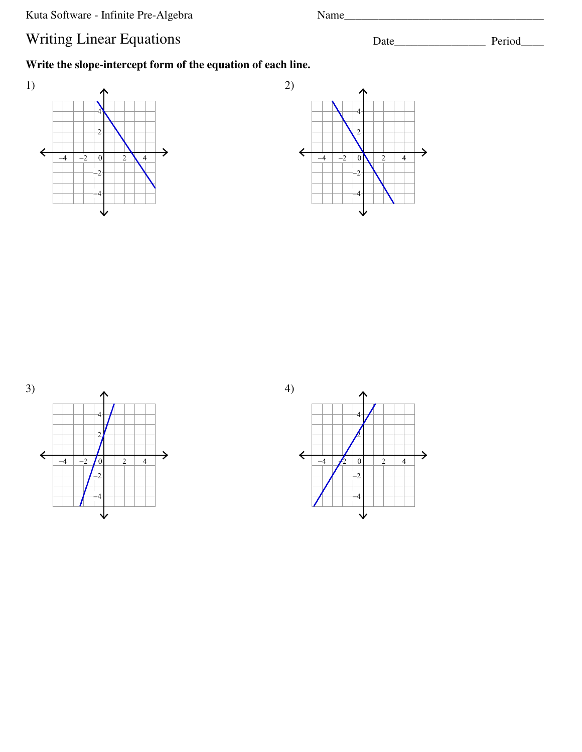Kuta Software - Infinite Pre-Algebra Name\_\_\_\_\_\_\_\_\_\_\_\_\_\_\_\_\_\_\_\_\_\_\_\_\_\_\_\_\_\_\_\_\_\_\_

## Writing Linear Equations Date\_\_\_\_\_\_\_\_\_\_\_\_\_\_\_\_ Period\_\_\_\_\_\_\_\_\_\_\_\_\_\_\_\_\_\_\_ Period\_\_\_\_\_\_\_\_\_

**Write the slope-intercept form of the equation of each line.**







4)

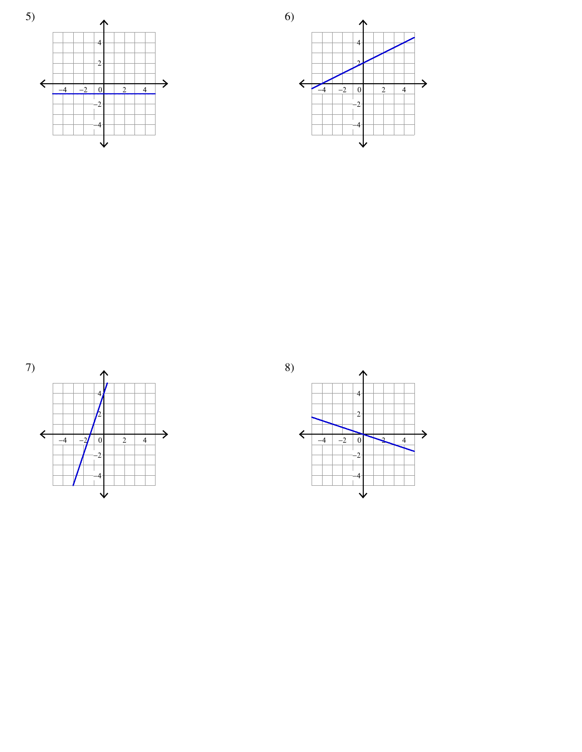







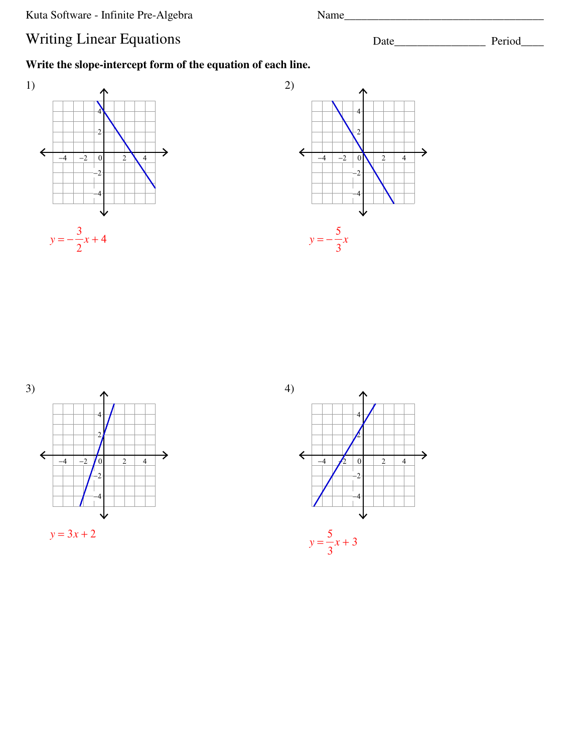Kuta Software - Infinite Pre-Algebra Name\_\_\_\_\_\_\_\_\_\_\_\_\_\_\_\_\_\_\_\_\_\_\_\_\_\_\_\_\_\_\_\_\_\_\_

## Writing Linear Equations Date\_\_\_\_\_\_\_\_\_\_\_\_\_\_\_\_\_ Period\_\_\_\_\_\_\_\_\_\_\_\_\_\_\_\_\_\_\_ Period\_\_\_\_\_\_\_\_

**Write the slope-intercept form of the equation of each line.**







4)